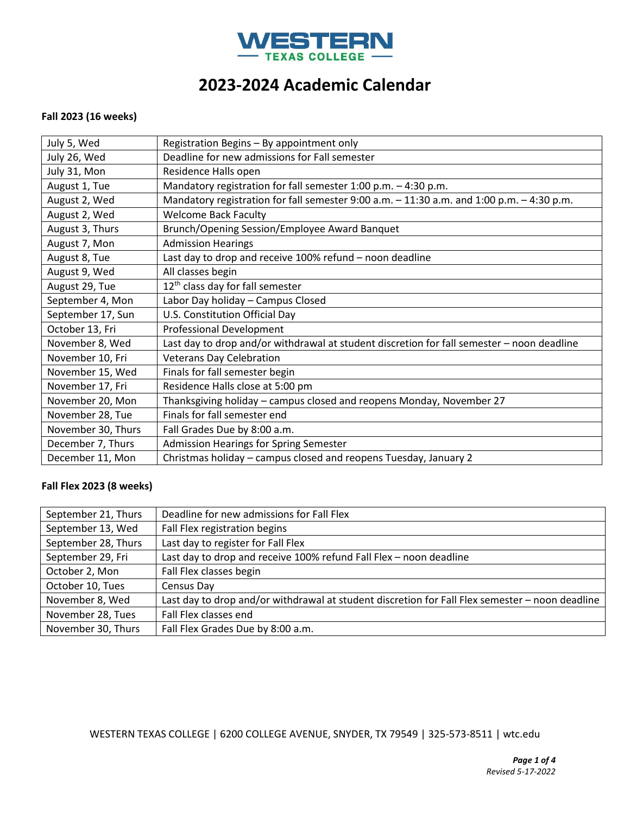

### **Fall 2023 (16 weeks)**

| July 5, Wed        | Registration Begins - By appointment only                                                  |
|--------------------|--------------------------------------------------------------------------------------------|
| July 26, Wed       | Deadline for new admissions for Fall semester                                              |
| July 31, Mon       | Residence Halls open                                                                       |
| August 1, Tue      | Mandatory registration for fall semester $1:00$ p.m. $-4:30$ p.m.                          |
| August 2, Wed      | Mandatory registration for fall semester 9:00 a.m. - 11:30 a.m. and 1:00 p.m. - 4:30 p.m.  |
| August 2, Wed      | <b>Welcome Back Faculty</b>                                                                |
| August 3, Thurs    | Brunch/Opening Session/Employee Award Banquet                                              |
| August 7, Mon      | <b>Admission Hearings</b>                                                                  |
| August 8, Tue      | Last day to drop and receive 100% refund - noon deadline                                   |
| August 9, Wed      | All classes begin                                                                          |
| August 29, Tue     | 12 <sup>th</sup> class day for fall semester                                               |
| September 4, Mon   | Labor Day holiday - Campus Closed                                                          |
| September 17, Sun  | U.S. Constitution Official Day                                                             |
| October 13, Fri    | <b>Professional Development</b>                                                            |
| November 8, Wed    | Last day to drop and/or withdrawal at student discretion for fall semester - noon deadline |
| November 10, Fri   | <b>Veterans Day Celebration</b>                                                            |
| November 15, Wed   | Finals for fall semester begin                                                             |
| November 17, Fri   | Residence Halls close at 5:00 pm                                                           |
| November 20, Mon   | Thanksgiving holiday - campus closed and reopens Monday, November 27                       |
| November 28, Tue   | Finals for fall semester end                                                               |
| November 30, Thurs | Fall Grades Due by 8:00 a.m.                                                               |
| December 7, Thurs  | <b>Admission Hearings for Spring Semester</b>                                              |
| December 11, Mon   | Christmas holiday – campus closed and reopens Tuesday, January 2                           |

## **Fall Flex 2023 (8 weeks)**

| September 21, Thurs | Deadline for new admissions for Fall Flex                                                       |
|---------------------|-------------------------------------------------------------------------------------------------|
| September 13, Wed   | Fall Flex registration begins                                                                   |
| September 28, Thurs | Last day to register for Fall Flex                                                              |
| September 29, Fri   | Last day to drop and receive 100% refund Fall Flex - noon deadline                              |
| October 2, Mon      | Fall Flex classes begin                                                                         |
| October 10, Tues    | Census Day                                                                                      |
| November 8, Wed     | Last day to drop and/or withdrawal at student discretion for Fall Flex semester - noon deadline |
| November 28, Tues   | Fall Flex classes end                                                                           |
| November 30, Thurs  | Fall Flex Grades Due by 8:00 a.m.                                                               |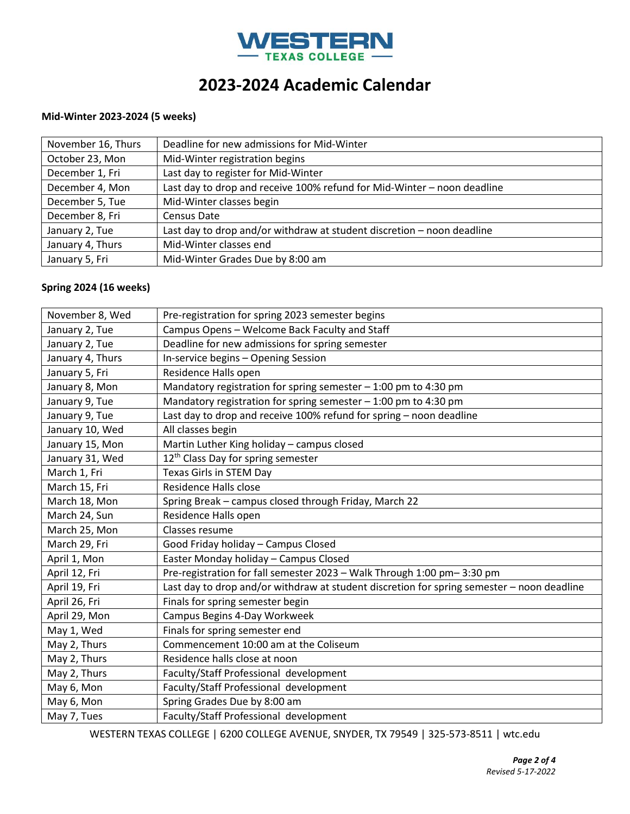

### **Mid-Winter 2023-2024 (5 weeks)**

| November 16, Thurs | Deadline for new admissions for Mid-Winter                              |
|--------------------|-------------------------------------------------------------------------|
| October 23, Mon    | Mid-Winter registration begins                                          |
| December 1, Fri    | Last day to register for Mid-Winter                                     |
| December 4, Mon    | Last day to drop and receive 100% refund for Mid-Winter - noon deadline |
| December 5, Tue    | Mid-Winter classes begin                                                |
| December 8, Fri    | Census Date                                                             |
| January 2, Tue     | Last day to drop and/or withdraw at student discretion - noon deadline  |
| January 4, Thurs   | Mid-Winter classes end                                                  |
| January 5, Fri     | Mid-Winter Grades Due by 8:00 am                                        |

#### **Spring 2024 (16 weeks)**

| November 8, Wed  | Pre-registration for spring 2023 semester begins                                           |
|------------------|--------------------------------------------------------------------------------------------|
| January 2, Tue   | Campus Opens - Welcome Back Faculty and Staff                                              |
| January 2, Tue   | Deadline for new admissions for spring semester                                            |
| January 4, Thurs | In-service begins - Opening Session                                                        |
| January 5, Fri   | Residence Halls open                                                                       |
| January 8, Mon   | Mandatory registration for spring semester $-1:00$ pm to 4:30 pm                           |
| January 9, Tue   | Mandatory registration for spring semester $-1:00$ pm to 4:30 pm                           |
| January 9, Tue   | Last day to drop and receive 100% refund for spring - noon deadline                        |
| January 10, Wed  | All classes begin                                                                          |
| January 15, Mon  | Martin Luther King holiday - campus closed                                                 |
| January 31, Wed  | 12 <sup>th</sup> Class Day for spring semester                                             |
| March 1, Fri     | Texas Girls in STEM Day                                                                    |
| March 15, Fri    | Residence Halls close                                                                      |
| March 18, Mon    | Spring Break - campus closed through Friday, March 22                                      |
| March 24, Sun    | Residence Halls open                                                                       |
| March 25, Mon    | Classes resume                                                                             |
| March 29, Fri    | Good Friday holiday - Campus Closed                                                        |
| April 1, Mon     | Easter Monday holiday - Campus Closed                                                      |
| April 12, Fri    | Pre-registration for fall semester 2023 - Walk Through 1:00 pm-3:30 pm                     |
| April 19, Fri    | Last day to drop and/or withdraw at student discretion for spring semester - noon deadline |
| April 26, Fri    | Finals for spring semester begin                                                           |
| April 29, Mon    | Campus Begins 4-Day Workweek                                                               |
| May 1, Wed       | Finals for spring semester end                                                             |
| May 2, Thurs     | Commencement 10:00 am at the Coliseum                                                      |
| May 2, Thurs     | Residence halls close at noon                                                              |
| May 2, Thurs     | Faculty/Staff Professional development                                                     |
| May 6, Mon       | Faculty/Staff Professional development                                                     |
| May 6, Mon       | Spring Grades Due by 8:00 am                                                               |
| May 7, Tues      | Faculty/Staff Professional development                                                     |
|                  |                                                                                            |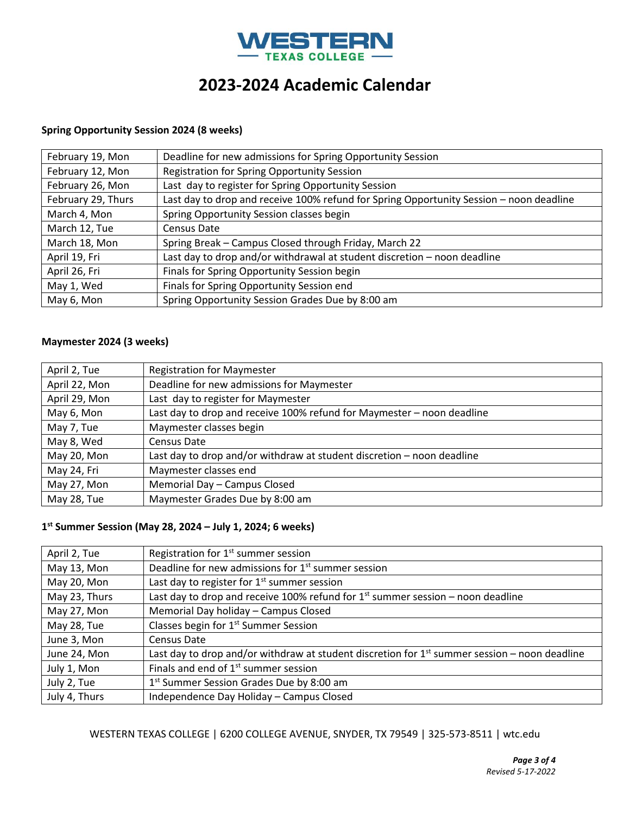

### **Spring Opportunity Session 2024 (8 weeks)**

| February 19, Mon   | Deadline for new admissions for Spring Opportunity Session                              |
|--------------------|-----------------------------------------------------------------------------------------|
| February 12, Mon   | Registration for Spring Opportunity Session                                             |
| February 26, Mon   | Last day to register for Spring Opportunity Session                                     |
| February 29, Thurs | Last day to drop and receive 100% refund for Spring Opportunity Session - noon deadline |
| March 4, Mon       | Spring Opportunity Session classes begin                                                |
| March 12, Tue      | Census Date                                                                             |
| March 18, Mon      | Spring Break - Campus Closed through Friday, March 22                                   |
| April 19, Fri      | Last day to drop and/or withdrawal at student discretion - noon deadline                |
| April 26, Fri      | Finals for Spring Opportunity Session begin                                             |
| May 1, Wed         | Finals for Spring Opportunity Session end                                               |
| May 6, Mon         | Spring Opportunity Session Grades Due by 8:00 am                                        |

### **Maymester 2024 (3 weeks)**

| April 2, Tue  | <b>Registration for Maymester</b>                                      |
|---------------|------------------------------------------------------------------------|
| April 22, Mon | Deadline for new admissions for Maymester                              |
| April 29, Mon | Last day to register for Maymester                                     |
| May 6, Mon    | Last day to drop and receive 100% refund for Maymester - noon deadline |
| May 7, Tue    | Maymester classes begin                                                |
| May 8, Wed    | Census Date                                                            |
| May 20, Mon   | Last day to drop and/or withdraw at student discretion - noon deadline |
| May 24, Fri   | Maymester classes end                                                  |
| May 27, Mon   | Memorial Day - Campus Closed                                           |
| May 28, Tue   | Maymester Grades Due by 8:00 am                                        |

### **1 st Summer Session (May 28, 2024 – July 1, 2024; 6 weeks)**

| April 2, Tue  | Registration for 1 <sup>st</sup> summer session                                                 |
|---------------|-------------------------------------------------------------------------------------------------|
| May 13, Mon   | Deadline for new admissions for 1 <sup>st</sup> summer session                                  |
| May 20, Mon   | Last day to register for $1st$ summer session                                                   |
| May 23, Thurs | Last day to drop and receive 100% refund for $1st$ summer session – noon deadline               |
| May 27, Mon   | Memorial Day holiday - Campus Closed                                                            |
| May 28, Tue   | Classes begin for 1 <sup>st</sup> Summer Session                                                |
| June 3, Mon   | Census Date                                                                                     |
| June 24, Mon  | Last day to drop and/or withdraw at student discretion for $1st$ summer session – noon deadline |
| July 1, Mon   | Finals and end of 1 <sup>st</sup> summer session                                                |
| July 2, Tue   | 1 <sup>st</sup> Summer Session Grades Due by 8:00 am                                            |
| July 4, Thurs | Independence Day Holiday - Campus Closed                                                        |